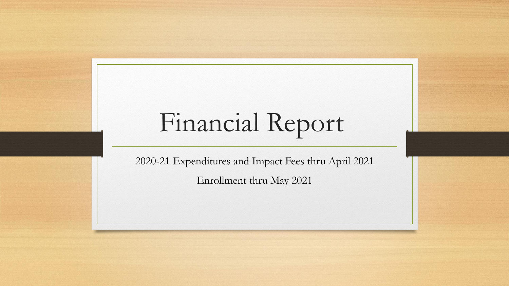## Financial Report

2020-21 Expenditures and Impact Fees thru April 2021 Enrollment thru May 2021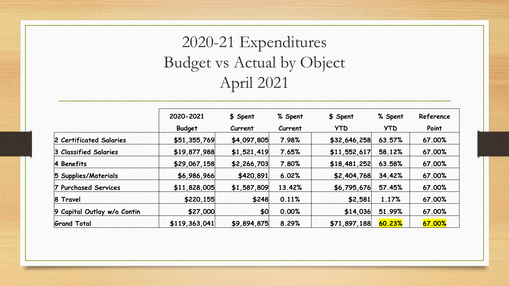## 2020-21 Expenditures Budget vs Actual by Object April 2021

|                             | 2020-2021     | \$ Spent    | % Spent | \$ Spent     | % Spent    | Reference |  |  |  |
|-----------------------------|---------------|-------------|---------|--------------|------------|-----------|--|--|--|
|                             | <b>Budget</b> | Current     | Current | <b>YTD</b>   | <b>YTD</b> | Point     |  |  |  |
| 2 Certificated Salaries     | \$51,355,769  | \$4,097,805 | 7.98%   | \$32,646,258 | 63.57%     | 67.00%    |  |  |  |
| 3 Classified Salaries       | \$19,877,988  | \$1,521,419 | 7.65%   | \$11,552,617 | 58.12%     | 67.00%    |  |  |  |
| 4 Benefits                  | \$29,067,158  | \$2,266,703 | 7.80%   | \$18,481,252 | 63.58%     | 67.00%    |  |  |  |
| 5 Supplies/Materials        | \$6,986,966   | \$420,891   | 6.02%   | \$2,404,768  | 34.42%     | 67.00%    |  |  |  |
| 7 Purchased Services        | \$11,828,005  | \$1,587,809 | 13.42%  | \$6,795,676  | 57.45%     | 67.00%    |  |  |  |
| 8 Travel                    | \$220,155     | \$248       | 0.11%   | \$2,581      | 1.17%      | 67.00%    |  |  |  |
| 9 Capital Outlay w/o Contin | \$27,000      | \$0         | 0.00%   | \$14,036     | 51.99%     | 67.00%    |  |  |  |
| <b>Grand Total</b>          | \$119,363,041 | \$9,894,875 | 8.29%   | \$71,897,188 | 60.23%     | 67.00%    |  |  |  |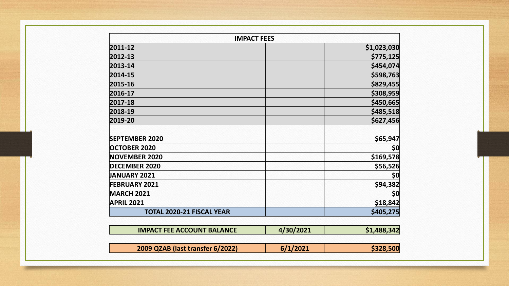| <b>IMPACT FEES</b>               |             |
|----------------------------------|-------------|
| 2011-12                          | \$1,023,030 |
| 2012-13                          | \$775,125   |
| 2013-14                          | \$454,074   |
| 2014-15                          | \$598,763   |
| 2015-16                          | \$829,455   |
| 2016-17                          | \$308,959   |
| 2017-18                          | \$450,665   |
| 2018-19                          | \$485,518   |
| 2019-20                          | \$627,456   |
|                                  |             |
| <b>SEPTEMBER 2020</b>            | \$65,947    |
| <b>OCTOBER 2020</b>              | \$0         |
| <b>NOVEMBER 2020</b>             | \$169,578   |
| <b>DECEMBER 2020</b>             | \$56,526    |
| <b>JANUARY 2021</b>              | \$0         |
| <b>FEBRUARY 2021</b>             | \$94,382    |
| <b>MARCH 2021</b>                | \$0         |
| <b>APRIL 2021</b>                | \$18,842    |
| <b>TOTAL 2020-21 FISCAL YEAR</b> | \$405,275   |

| <b>IMPACT FEE ACCOUNT BALANCE</b> | 4/30/2021 | \$1,488,342 |
|-----------------------------------|-----------|-------------|
| 2009 QZAB (last transfer 6/2022)  | 6/1/2021  | \$328,500   |

г

 $\overline{\phantom{a}}$